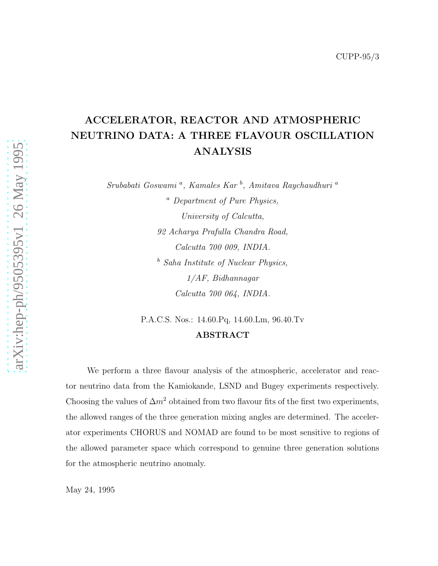## ACCELERATOR, REACTOR AND ATMOSPHERIC NEUTRINO DATA: A THREE FLAVOUR OSCILLATION ANALYSIS

Srubabati Goswami<sup>a</sup>, Kamales Kar<sup>b</sup>, Amitava Raychaudhuri<sup>a</sup>

<sup>a</sup> Department of Pure Physics, University of Calcutta, 92 Acharya Prafulla Chandra Road, Calcutta 700 009, INDIA.  $<sup>b</sup>$  Saha Institute of Nuclear Physics,</sup> 1/AF, Bidhannagar Calcutta 700 064, INDIA.

P.A.C.S. Nos.: 14.60.Pq, 14.60.Lm, 96.40.Tv

### ABSTRACT

We perform a three flavour analysis of the atmospheric, accelerator and reactor neutrino data from the Kamiokande, LSND and Bugey experiments respectively. Choosing the values of  $\Delta m^2$  obtained from two flavour fits of the first two experiments, the allowed ranges of the three generation mixing angles are determined. The accelerator experiments CHORUS and NOMAD are found to be most sensitive to regions of the allowed parameter space which correspond to genuine three generation solutions for the atmospheric neutrino anomaly.

May 24, 1995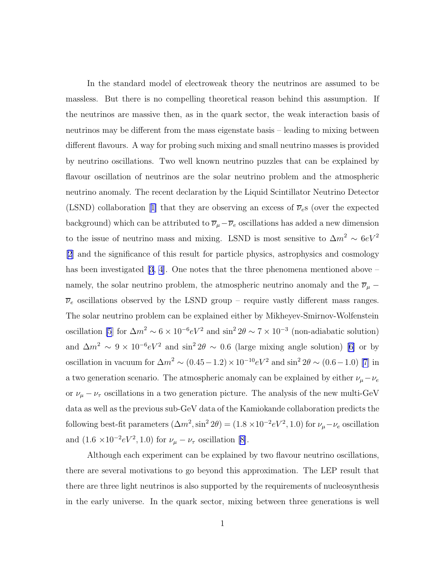In the standard model of electroweak theory the neutrinos are assumed to be massless. But there is no compelling theoretical reason behind this assumption. If the neutrinos are massive then, as in the quark sector, the weak interaction basis of neutrinos may be different from the mass eigenstate basis – leading to mixing between different flavours. A way for probing such mixing and small neutrino masses is provided by neutrino oscillations. Two well known neutrino puzzles that can be explained by flavour oscillation of neutrinos are the solar neutrino problem and the atmospheric neutrino anomaly. The recent declaration by the Liquid Scintillator Neutrino Detector (LSND)collaboration [[1\]](#page-11-0) that they are observing an excess of  $\overline{\nu}_{e}$  (over the expected background) which can be attributed to  $\overline{\nu}_{\mu}-\overline{\nu}_{e}$  oscillations has added a new dimension to the issue of neutrino mass and mixing. LSND is most sensitive to  $\Delta m^2 \sim 6 eV^2$ [\[2](#page-11-0)] and the significance of this result for particle physics, astrophysics and cosmology has been investigated  $(3, 4)$ . One notes that the three phenomena mentioned above – namely, the solar neutrino problem, the atmospheric neutrino anomaly and the  $\overline{\nu}_{\mu}$  −  $\overline{\nu}_e$  oscillations observed by the LSND group – require vastly different mass ranges. The solar neutrino problem can be explained either by Mikheyev-Smirnov-Wolfenstein oscillation [\[5](#page-11-0)] for  $\Delta m^2 \sim 6 \times 10^{-6} eV^2$  and  $\sin^2 2\theta \sim 7 \times 10^{-3}$  (non-adiabatic solution) and  $\Delta m^2 \sim 9 \times 10^{-6} eV^2$  and  $\sin^2 2\theta \sim 0.6$  (large mixing angle solution) [\[6\]](#page-11-0) or by oscillation in vacuum for  $\Delta m^2 \sim (0.45-1.2) \times 10^{-10} eV^2$  and  $\sin^2 2\theta \sim (0.6-1.0)$  [\[7\]](#page-11-0) in a two generation scenario. The atmospheric anomaly can be explained by either  $\nu_{\mu} - \nu_{e}$ or  $\nu_{\mu} - \nu_{\tau}$  oscillations in a two generation picture. The analysis of the new multi-GeV data as well as the previous sub-GeV data of the Kamiokande collaboration predicts the following best-fit parameters  $(\Delta m^2, \sin^2 2\theta) = (1.8 \times 10^{-2} eV^2, 1.0)$  for  $\nu_\mu - \nu_e$  oscillation and  $(1.6 \times 10^{-2} eV^2, 1.0)$  for  $\nu_{\mu} - \nu_{\tau}$  oscillation [\[8\]](#page-11-0).

Although each experiment can be explained by two flavour neutrino oscillations, there are several motivations to go beyond this approximation. The LEP result that there are three light neutrinos is also supported by the requirements of nucleosynthesis in the early universe. In the quark sector, mixing between three generations is well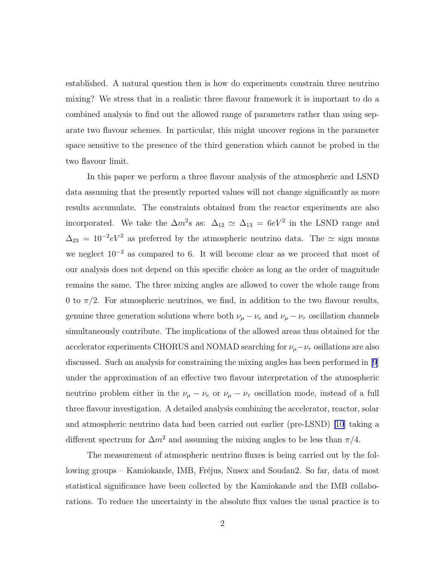established. A natural question then is how do experiments constrain three neutrino mixing? We stress that in a realistic three flavour framework it is important to do a combined analysis to find out the allowed range of parameters rather than using separate two flavour schemes. In particular, this might uncover regions in the parameter space sensitive to the presence of the third generation which cannot be probed in the two flavour limit.

In this paper we perform a three flavour analysis of the atmospheric and LSND data assuming that the presently reported values will not change significantly as more results accumulate. The constraints obtained from the reactor experiments are also incorporated. We take the  $\Delta m^2$ s as:  $\Delta_{12} \simeq \Delta_{13} = 6eV^2$  in the LSND range and  $\Delta_{23} = 10^{-2} eV^2$  as preferred by the atmospheric neutrino data. The  $\simeq$  sign means we neglect  $10^{-2}$  as compared to 6. It will become clear as we proceed that most of our analysis does not depend on this specific choice as long as the order of magnitude remains the same. The three mixing angles are allowed to cover the whole range from 0 to  $\pi/2$ . For atmospheric neutrinos, we find, in addition to the two flavour results, genuine three generation solutions where both  $\nu_{\mu} - \nu_{e}$  and  $\nu_{\mu} - \nu_{\tau}$  oscillation channels simultaneously contribute. The implications of the allowed areas thus obtained for the accelerator experiments CHORUS and NOMAD searching for  $\nu_\mu-\nu_\tau$  osillations are also discussed. Such an analysis for constraining the mixing angles has been performed in [\[9](#page-11-0)] under the approximation of an effective two flavour interpretation of the atmospheric neutrino problem either in the  $\nu_{\mu} - \nu_{e}$  or  $\nu_{\mu} - \nu_{\tau}$  oscillation mode, instead of a full three flavour investigation. A detailed analysis combining the accelerator, reactor, solar and atmospheric neutrino data had been carried out earlier (pre-LSND) [\[10\]](#page-11-0) taking a different spectrum for  $\Delta m^2$  and assuming the mixing angles to be less than  $\pi/4$ .

The measurement of atmospheric neutrino fluxes is being carried out by the following groups – Kamiokande, IMB, Fréjus, Nusex and Soudan2. So far, data of most statistical significance have been collected by the Kamiokande and the IMB collaborations. To reduce the uncertainty in the absolute flux values the usual practice is to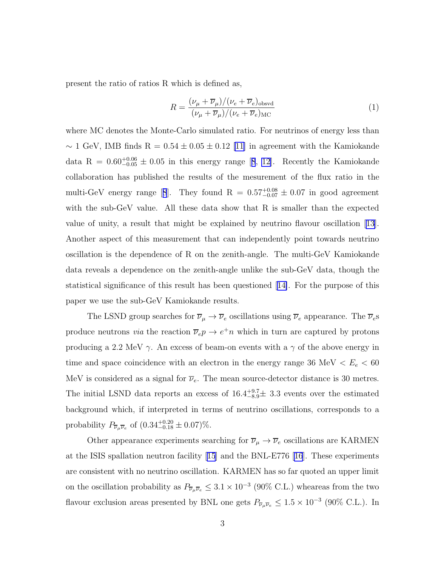<span id="page-3-0"></span>present the ratio of ratios R which is defined as,

$$
R = \frac{(\nu_{\mu} + \overline{\nu}_{\mu})/(\nu_e + \overline{\nu}_e)_{\text{obsvd}}}{(\nu_{\mu} + \overline{\nu}_{\mu})/(\nu_e + \overline{\nu}_e)_{\text{MC}}}
$$
(1)

where MC denotes the Monte-Carlo simulated ratio. For neutrinos of energy less than  $\sim 1$  GeV, IMB finds R = 0.54 ± 0.05 ± 0.12 [\[11\]](#page-11-0) in agreement with the Kamiokande dataR =  $0.60^{+0.06}_{-0.05} \pm 0.05$  in this energy range [[8](#page-11-0), [12\]](#page-11-0). Recently the Kamiokande collaboration has published the results of the mesurement of the flux ratio in the multi-GeVenergy range [[8](#page-11-0)]. They found  $R = 0.57^{+0.08}_{-0.07} \pm 0.07$  in good agreement with the sub-GeV value. All these data show that R is smaller than the expected value of unity, a result that might be explained by neutrino flavour oscillation [\[13\]](#page-11-0). Another aspect of this measurement that can independently point towards neutrino oscillation is the dependence of R on the zenith-angle. The multi-GeV Kamiokande data reveals a dependence on the zenith-angle unlike the sub-GeV data, though the statistical significance of this result has been questioned[[14\]](#page-12-0). For the purpose of this paper we use the sub-GeV Kamiokande results.

The LSND group searches for  $\overline{\nu}_{\mu} \to \overline{\nu}_{e}$  oscillations using  $\overline{\nu}_{e}$  appearance. The  $\overline{\nu}_{e}$ s produce neutrons *via* the reaction  $\overline{\nu}_e p \to e^+ n$  which in turn are captured by protons producing a 2.2 MeV  $\gamma$ . An excess of beam-on events with a  $\gamma$  of the above energy in time and space coincidence with an electron in the energy range 36 MeV  $\lt E_e \lt 60$ MeV is considered as a signal for  $\overline{\nu}_e$ . The mean source-detector distance is 30 metres. The initial LSND data reports an excess of  $16.4^{+9.7}_{-8.9}\pm 3.3$  events over the estimated background which, if interpreted in terms of neutrino oscillations, corresponds to a probability  $P_{\overline{\nu}_{\mu} \overline{\nu}_{e}}$  of  $(0.34^{+0.20}_{-0.18} \pm 0.07)\%$ .

Other appearance experiments searching for  $\overline{\nu}_{\mu} \to \overline{\nu}_{e}$  oscillations are KARMEN at the ISIS spallation neutron facility[[15](#page-12-0)] and the BNL-E776[[16](#page-12-0)]. These experiments are consistent with no neutrino oscillation. KARMEN has so far quoted an upper limit on the oscillation probability as  $P_{\overline{\nu}_\mu \overline{\nu}_e} \leq 3.1 \times 10^{-3}$  (90% C.L.) wheareas from the two flavour exclusion areas presented by BNL one gets  $P_{\overline{\nu}_{\mu} \overline{\nu}_{e}} \leq 1.5 \times 10^{-3}$  (90% C.L.). In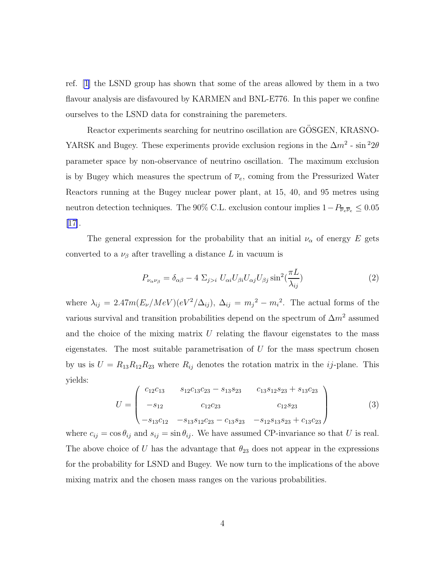<span id="page-4-0"></span>ref. [\[1\]](#page-11-0) the LSND group has shown that some of the areas allowed by them in a two flavour analysis are disfavoured by KARMEN and BNL-E776. In this paper we confine ourselves to the LSND data for constraining the paremeters.

Reactor experiments searching for neutrino oscillation are GÖSGEN, KRASNO-YARSK and Bugey. These experiments provide exclusion regions in the  $\Delta m^2$  - sin<sup>2</sup>2 $\theta$ parameter space by non-observance of neutrino oscillation. The maximum exclusion is by Bugey which measures the spectrum of  $\overline{\nu}_e$ , coming from the Pressurized Water Reactors running at the Bugey nuclear power plant, at 15, 40, and 95 metres using neutron detection techniques. The 90% C.L. exclusion contour implies  $1-P_{\overline{\nu}_e\overline{\nu}_e} \leq 0.05$ [\[17\]](#page-12-0).

The general expression for the probability that an initial  $\nu_{\alpha}$  of energy E gets converted to a  $\nu_{\beta}$  after travelling a distance L in vacuum is

$$
P_{\nu_{\alpha}\nu_{\beta}} = \delta_{\alpha\beta} - 4 \Sigma_{j>i} U_{\alpha i} U_{\beta i} U_{\alpha j} U_{\beta j} \sin^2(\frac{\pi L}{\lambda_{ij}})
$$
\n(2)

where  $\lambda_{ij} = 2.47m(E_{\nu}/MeV)(eV^2/\Delta_{ij}), \Delta_{ij} = m_j^2 - m_i^2$ . The actual forms of the various survival and transition probabilities depend on the spectrum of  $\Delta m^2$  assumed and the choice of the mixing matrix  $U$  relating the flavour eigenstates to the mass eigenstates. The most suitable parametrisation of  $U$  for the mass spectrum chosen by us is  $U = R_{13}R_{12}R_{23}$  where  $R_{ij}$  denotes the rotation matrix in the *ij*-plane. This yields:

$$
U = \begin{pmatrix} c_{12}c_{13} & s_{12}c_{13}c_{23} - s_{13}s_{23} & c_{13}s_{12}s_{23} + s_{13}c_{23} \\ -s_{12} & c_{12}c_{23} & c_{12}s_{23} \\ -s_{13}c_{12} & -s_{13}s_{12}c_{23} - c_{13}s_{23} & -s_{12}s_{13}s_{23} + c_{13}c_{23} \end{pmatrix}
$$
(3)

where  $c_{ij} = \cos \theta_{ij}$  and  $s_{ij} = \sin \theta_{ij}$ . We have assumed CP-invariance so that U is real. The above choice of U has the advantage that  $\theta_{23}$  does not appear in the expressions for the probability for LSND and Bugey. We now turn to the implications of the above mixing matrix and the chosen mass ranges on the various probabilities.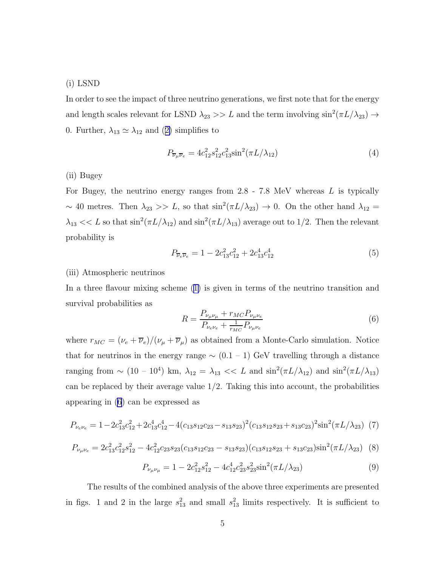#### <span id="page-5-0"></span>(i) LSND

In order to see the impact of three neutrino generations, we first note that for the energy and length scales relevant for LSND  $\lambda_{23} >> L$  and the term involving  $\sin^2(\pi L/\lambda_{23}) \rightarrow$ 0.Further,  $\lambda_{13} \simeq \lambda_{12}$  and ([2\)](#page-4-0) simplifies to

$$
P_{\overline{\nu}_{\mu}\overline{\nu}_{e}} = 4c_{12}^{2} s_{12}^{2} c_{13}^{2} \sin^{2}(\pi L/\lambda_{12})
$$
\n(4)

#### (ii) Bugey

For Bugey, the neutrino energy ranges from  $2.8$  -  $7.8$  MeV whereas  $L$  is typically ~ 40 metres. Then  $\lambda_{23} >> L$ , so that  $\sin^2(\pi L/\lambda_{23}) \to 0$ . On the other hand  $\lambda_{12} =$  $\lambda_{13} \ll L$  so that  $\sin^2(\pi L/\lambda_{12})$  and  $\sin^2(\pi L/\lambda_{13})$  average out to 1/2. Then the relevant probability is

$$
P_{\overline{\nu}_e \overline{\nu}_e} = 1 - 2c_{13}^2 c_{12}^2 + 2c_{13}^4 c_{12}^4 \tag{5}
$$

#### (iii) Atmospheric neutrinos

In a three flavour mixing scheme([1\)](#page-3-0) is given in terms of the neutrino transition and survival probabilities as

$$
R = \frac{P_{\nu_{\mu}\nu_{\mu}} + r_{MC}P_{\nu_{\mu}\nu_{e}}}{P_{\nu_{e}\nu_{e}} + \frac{1}{r_{MC}}P_{\nu_{\mu}\nu_{e}}}
$$
(6)

where  $r_{MC} = (\nu_e + \overline{\nu}_e)/(\nu_\mu + \overline{\nu}_\mu)$  as obtained from a Monte-Carlo simulation. Notice that for neutrinos in the energy range  $\sim$  (0.1 – 1) GeV travelling through a distance ranging from ~  $(10 - 10^4)$  km,  $\lambda_{12} = \lambda_{13}$  << L and  $\sin^2(\pi L/\lambda_{12})$  and  $\sin^2(\pi L/\lambda_{13})$ can be replaced by their average value  $1/2$ . Taking this into account, the probabilities appearing in (6) can be expressed as

$$
P_{\nu_e \nu_e} = 1 - 2c_{13}^2 c_{12}^2 + 2c_{13}^4 c_{12}^4 - 4(c_{13}s_{12}c_{23} - s_{13}s_{23})^2 (c_{13}s_{12}s_{23} + s_{13}c_{23})^2 \sin^2(\pi L/\lambda_{23})
$$
 (7)

$$
P_{\nu_{\mu}\nu_{e}} = 2c_{13}^{2}c_{12}^{2}s_{12}^{2} - 4c_{12}^{2}c_{23}s_{23}(c_{13}s_{12}c_{23} - s_{13}s_{23})(c_{13}s_{12}s_{23} + s_{13}c_{23})\sin^{2}(\pi L/\lambda_{23})
$$
 (8)

$$
P_{\nu_{\mu}\nu_{\mu}} = 1 - 2c_{12}^2 s_{12}^2 - 4c_{12}^4 c_{23}^2 s_{23}^2 \sin^2(\pi L/\lambda_{23})
$$
\n(9)

The results of the combined analysis of the above three experiments are presented in figs. 1 and 2 in the large  $s_{13}^2$  and small  $s_{13}^2$  limits respectively. It is sufficient to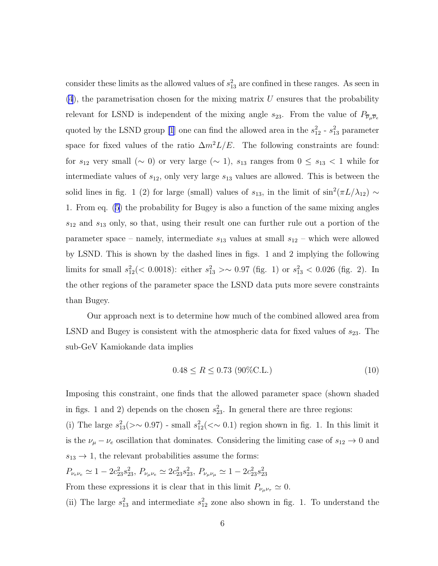<span id="page-6-0"></span>consider these limits as the allowed values of  $s_{13}^2$  are confined in these ranges. As seen in  $(4)$  $(4)$ , the parametrisation chosen for the mixing matrix U ensures that the probability relevant for LSND is independent of the mixing angle  $s_{23}$ . From the value of  $P_{\overline{\nu}_{\mu}\overline{\nu}_{e}}$ quoted by the LSND group [\[1](#page-11-0)] one can find the allowed area in the  $s_{12}^2$  -  $s_{13}^2$  parameter space for fixed values of the ratio  $\Delta m^2 L/E$ . The following constraints are found: for  $s_{12}$  very small ( $\sim$  0) or very large ( $\sim$  1),  $s_{13}$  ranges from  $0 \leq s_{13} < 1$  while for intermediate values of  $s_{12}$ , only very large  $s_{13}$  values are allowed. This is between the solid lines in fig. 1 (2) for large (small) values of  $s_{13}$ , in the limit of sin<sup>2</sup>( $\pi L/\lambda_{12}$ ) ~ 1. From eq. [\(5\)](#page-5-0) the probability for Bugey is also a function of the same mixing angles  $s_{12}$  and  $s_{13}$  only, so that, using their result one can further rule out a portion of the parameter space – namely, intermediate  $s_{13}$  values at small  $s_{12}$  – which were allowed by LSND. This is shown by the dashed lines in figs. 1 and 2 implying the following limits for small  $s_{12}^2 (< 0.0018)$ : either  $s_{13}^2 > ~ 0.97$  (fig. 1) or  $s_{13}^2 < 0.026$  (fig. 2). In the other regions of the parameter space the LSND data puts more severe constraints than Bugey.

Our approach next is to determine how much of the combined allowed area from LSND and Bugey is consistent with the atmospheric data for fixed values of  $s_{23}$ . The sub-GeV Kamiokande data implies

$$
0.48 \le R \le 0.73 \text{ (90%C.L.)}
$$
\n<sup>(10)</sup>

Imposing this constraint, one finds that the allowed parameter space (shown shaded in figs. 1 and 2) depends on the chosen  $s_{23}^2$ . In general there are three regions:

(i) The large  $s_{13}^2(\geq 0.97)$  - small  $s_{12}^2(\leq 0.1)$  region shown in fig. 1. In this limit it is the  $\nu_{\mu} - \nu_{e}$  oscillation that dominates. Considering the limiting case of  $s_{12} \rightarrow 0$  and  $s_{13} \rightarrow 1$ , the relevant probabilities assume the forms:

 $P_{\nu_e \nu_e} \simeq 1 - 2c_{23}^2 s_{23}^2$ ,  $P_{\nu_\mu \nu_e} \simeq 2c_{23}^2 s_{23}^2$ ,  $P_{\nu_\mu \nu_\mu} \simeq 1 - 2c_{23}^2 s_{23}^2$ 

From these expressions it is clear that in this limit  $P_{\nu_{\mu}\nu_{\tau}} \simeq 0$ .

(ii) The large  $s_{13}^2$  and intermediate  $s_{12}^2$  zone also shown in fig. 1. To understand the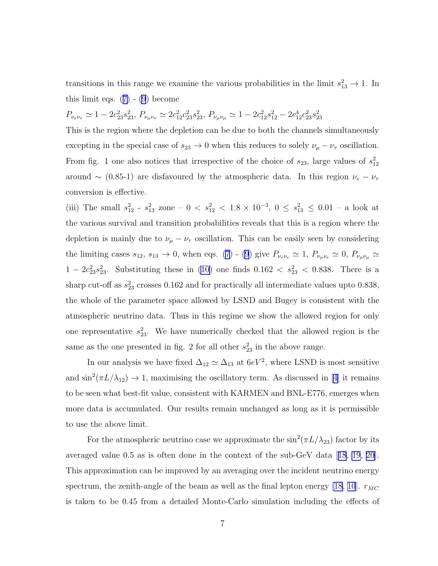transitions in this range we examine the various probabilities in the limit  $s_{13}^2 \rightarrow 1$ . In thislimit eqs.  $(7)$  $(7)$  -  $(9)$  become

 $P_{\nu_e \nu_e} \simeq 1 - 2c_{23}^2 s_{23}^2$ ,  $P_{\nu_\mu \nu_e} \simeq 2c_{12}^2 c_{23}^2 s_{23}^2$ ,  $P_{\nu_\mu \nu_\mu} \simeq 1 - 2c_{12}^2 s_{12}^2 - 2c_{12}^4 c_{23}^2 s_{23}^2$ 

This is the region where the depletion can be due to both the channels simultaneously excepting in the special case of  $s_{23} \to 0$  when this reduces to solely  $\nu_\mu - \nu_\tau$  oscillation. From fig. 1 one also notices that irrespective of the choice of  $s_{23}$ , large values of  $s_{12}^2$ around ∼ (0.85-1) are disfavoured by the atmospheric data. In this region  $\nu_e - \nu_\tau$ conversion is effective.

(iii) The small  $s_{12}^2$  -  $s_{13}^2$  zone – 0 <  $s_{12}^2$  < 1.8 × 10<sup>-3</sup>, 0  $\leq s_{13}^2 \leq 0.01$  – a look at the various survival and transition probabilities reveals that this is a region where the depletion is mainly due to  $\nu_{\mu} - \nu_{\tau}$  oscillation. This can be easily seen by considering the limiting cases  $s_{12}$ ,  $s_{13} \to 0$ , when eqs. [\(7](#page-5-0)) - [\(9](#page-5-0)) give  $P_{\nu_e \nu_e} \simeq 1$ ,  $P_{\nu_\mu \nu_e} \simeq 0$ ,  $P_{\nu_\mu \nu_\mu} \simeq$  $1-2c_{23}^2s_{23}^2$ . Substituting these in [\(10\)](#page-6-0) one finds  $0.162 < s_{23}^2 < 0.838$ . There is a sharp cut-off as  $s_{23}^2$  crosses 0.162 and for practically all intermediate values upto 0.838, the whole of the parameter space allowed by LSND and Bugey is consistent with the atmospheric neutrino data. Thus in this regime we show the allowed region for only one representative  $s_{23}^2$ . We have numerically checked that the allowed region is the same as the one presented in fig. 2 for all other  $s_{23}^2$  in the above range.

In our analysis we have fixed  $\Delta_{12} \simeq \Delta_{13}$  at  $6eV^2$ , where LSND is most sensitive and  $\sin^2(\pi L/\lambda_{12}) \to 1$ , maximising the oscillatory term. As discussed in [\[4\]](#page-11-0) it remains to be seen what best-fit value, consistent with KARMEN and BNL-E776, emerges when more data is accumulated. Our results remain unchanged as long as it is permissible to use the above limit.

For the atmospheric neutrino case we approximate the  $\sin^2(\pi L/\lambda_{23})$  factor by its averaged value 0.5 as is often done in the context of the sub-GeV data[[18](#page-12-0), [19](#page-12-0), [20\]](#page-12-0). This approximation can be improved by an averaging over the incident neutrino energy spectrum, the zenith-angle of the beam as well as the final lepton energy [\[18,](#page-12-0) [10](#page-11-0)].  $r_{MC}$ is taken to be 0.45 from a detailed Monte-Carlo simulation including the effects of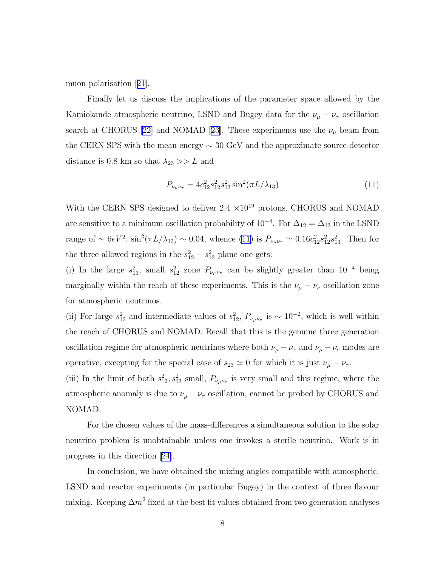muon polarisation[[21](#page-12-0)].

Finally let us discuss the implications of the parameter space allowed by the Kamiokande atmospheric neutrino, LSND and Bugey data for the  $\nu_{\mu} - \nu_{\tau}$  oscillation search at CHORUS [\[22](#page-12-0)]and NOMAD [[23\]](#page-12-0). These experiments use the  $\nu_{\mu}$  beam from the CERN SPS with the mean energy  $\sim 30$  GeV and the approximate source-detector distance is 0.8 km so that  $\lambda_{23} >> L$  and

$$
P_{\nu_{\mu}\nu_{\tau}} = 4c_{12}^2 s_{12}^2 s_{13}^2 \sin^2(\pi L/\lambda_{13})
$$
\n(11)

With the CERN SPS designed to deliver  $2.4 \times 10^{19}$  protons, CHORUS and NOMAD are sensitive to a minimum oscillation probability of  $10^{-4}$ . For  $\Delta_{12} = \Delta_{13}$  in the LSND range of ~  $6eV^2$ ,  $\sin^2(\pi L/\lambda_{13})$  ~ 0.04, whence (11) is  $P_{\nu_\mu\nu_\tau} \simeq 0.16c_{12}^2 s_{12}^2 s_{13}^2$ . Then for the three allowed regions in the  $s_{12}^2 - s_{13}^2$  plane one gets:

(i) In the large  $s_{13}^2$ , small  $s_{12}^2$  zone  $P_{\nu_\mu\nu_\tau}$  can be slightly greater than  $10^{-4}$  being marginally within the reach of these experiments. This is the  $\nu_{\mu} - \nu_{e}$  oscillation zone for atmospheric neutrinos.

(ii) For large  $s_{13}^2$  and intermediate values of  $s_{12}^2$ ,  $P_{\nu_\mu\nu_\tau}$  is ~ 10<sup>-2</sup>, which is well within the reach of CHORUS and NOMAD. Recall that this is the genuine three generation oscillation regime for atmospheric neutrinos where both  $\nu_{\mu} - \nu_{\tau}$  and  $\nu_{\mu} - \nu_{e}$  modes are operative, excepting for the special case of  $s_{23} \simeq 0$  for which it is just  $\nu_{\mu} - \nu_{\tau}$ .

(iii) In the limit of both  $s_{12}^2, s_{13}^2$  small,  $P_{\nu_\mu\nu_\tau}$  is very small and this regime, where the atmospheric anomaly is due to  $\nu_{\mu} - \nu_{\tau}$  oscillation, cannot be probed by CHORUS and NOMAD.

For the chosen values of the mass-differences a simultaneous solution to the solar neutrino problem is unobtainable unless one invokes a sterile neutrino. Work is in progress in this direction [\[24\]](#page-12-0).

In conclusion, we have obtained the mixing angles compatible with atmospheric, LSND and reactor experiments (in particular Bugey) in the context of three flavour mixing. Keeping  $\Delta m^2$  fixed at the best fit values obtained from two generation analyses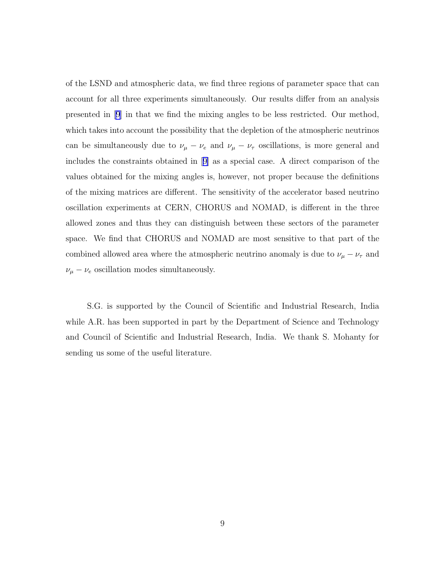of the LSND and atmospheric data, we find three regions of parameter space that can account for all three experiments simultaneously. Our results differ from an analysis presented in [\[9\]](#page-11-0) in that we find the mixing angles to be less restricted. Our method, which takes into account the possibility that the depletion of the atmospheric neutrinos can be simultaneously due to  $\nu_{\mu} - \nu_{e}$  and  $\nu_{\mu} - \nu_{\tau}$  oscillations, is more general and includes the constraints obtained in[[9\]](#page-11-0) as a special case. A direct comparison of the values obtained for the mixing angles is, however, not proper because the definitions of the mixing matrices are different. The sensitivity of the accelerator based neutrino oscillation experiments at CERN, CHORUS and NOMAD, is different in the three allowed zones and thus they can distinguish between these sectors of the parameter space. We find that CHORUS and NOMAD are most sensitive to that part of the combined allowed area where the atmospheric neutrino anomaly is due to  $\nu_{\mu} - \nu_{\tau}$  and  $\nu_{\mu} - \nu_{e}$  oscillation modes simultaneously.

S.G. is supported by the Council of Scientific and Industrial Research, India while A.R. has been supported in part by the Department of Science and Technology and Council of Scientific and Industrial Research, India. We thank S. Mohanty for sending us some of the useful literature.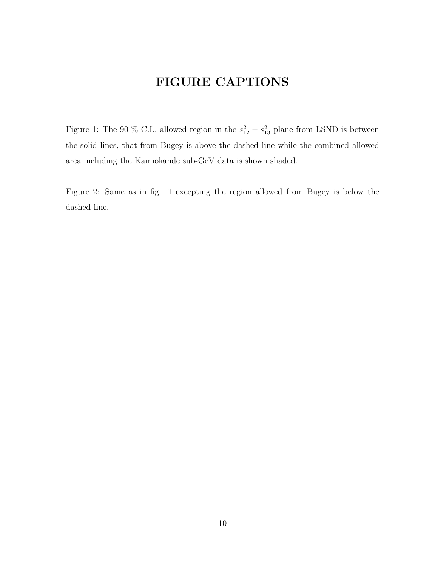# FIGURE CAPTIONS

Figure 1: The 90 % C.L. allowed region in the  $s_{12}^2 - s_{13}^2$  plane from LSND is between the solid lines, that from Bugey is above the dashed line while the combined allowed area including the Kamiokande sub-GeV data is shown shaded.

Figure 2: Same as in fig. 1 excepting the region allowed from Bugey is below the dashed line.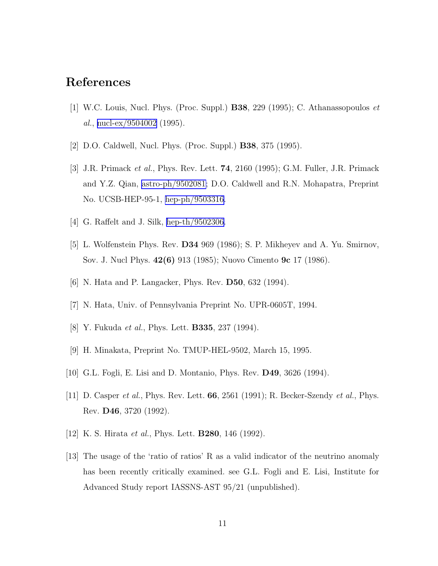### <span id="page-11-0"></span>References

- [1] W.C. Louis, Nucl. Phys. (Proc. Suppl.) B38, 229 (1995); C. Athanassopoulos et al., [nucl-ex/9504002](http://arxiv.org/abs/nucl-ex/9504002)  $(1995)$ .
- [2] D.O. Caldwell, Nucl. Phys. (Proc. Suppl.) B38, 375 (1995).
- [3] J.R. Primack et al., Phys. Rev. Lett. 74, 2160 (1995); G.M. Fuller, J.R. Primack and Y.Z. Qian, [astro-ph/9502081;](http://arxiv.org/abs/astro-ph/9502081) D.O. Caldwell and R.N. Mohapatra, Preprint No. UCSB-HEP-95-1, [hep-ph/9503316.](http://arxiv.org/abs/hep-ph/9503316)
- [4] G. Raffelt and J. Silk, [hep-th/9502306.](http://arxiv.org/abs/hep-th/9502306)
- [5] L. Wolfenstein Phys. Rev. D34 969 (1986); S. P. Mikheyev and A. Yu. Smirnov, Sov. J. Nucl Phys. 42(6) 913 (1985); Nuovo Cimento 9c 17 (1986).
- [6] N. Hata and P. Langacker, Phys. Rev. D50, 632 (1994).
- [7] N. Hata, Univ. of Pennsylvania Preprint No. UPR-0605T, 1994.
- [8] Y. Fukuda *et al.*, Phys. Lett. **B335**, 237 (1994).
- [9] H. Minakata, Preprint No. TMUP-HEL-9502, March 15, 1995.
- [10] G.L. Fogli, E. Lisi and D. Montanio, Phys. Rev. D49, 3626 (1994).
- [11] D. Casper *et al.*, Phys. Rev. Lett.  $66$ ,  $2561$  (1991); R. Becker-Szendy *et al.*, Phys. Rev. D46, 3720 (1992).
- [12] K. S. Hirata *et al.*, Phys. Lett. **B280**, 146 (1992).
- [13] The usage of the 'ratio of ratios' R as a valid indicator of the neutrino anomaly has been recently critically examined. see G.L. Fogli and E. Lisi, Institute for Advanced Study report IASSNS-AST 95/21 (unpublished).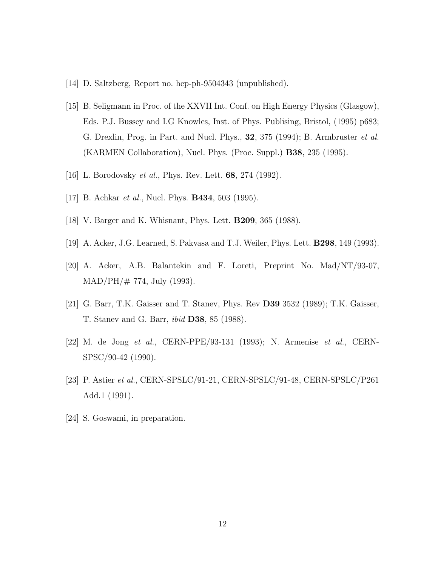- <span id="page-12-0"></span>[14] D. Saltzberg, Report no. hep-ph-9504343 (unpublished).
- [15] B. Seligmann in Proc. of the XXVII Int. Conf. on High Energy Physics (Glasgow), Eds. P.J. Bussey and I.G Knowles, Inst. of Phys. Publising, Bristol, (1995) p683; G. Drexlin, Prog. in Part. and Nucl. Phys., 32, 375 (1994); B. Armbruster et al. (KARMEN Collaboration), Nucl. Phys. (Proc. Suppl.) B38, 235 (1995).
- [16] L. Borodovsky et al., Phys. Rev. Lett. 68, 274 (1992).
- [17] B. Achkar *et al.*, Nucl. Phys. **B434**, 503 (1995).
- [18] V. Barger and K. Whisnant, Phys. Lett. B209, 365 (1988).
- [19] A. Acker, J.G. Learned, S. Pakvasa and T.J. Weiler, Phys. Lett. B298, 149 (1993).
- [20] A. Acker, A.B. Balantekin and F. Loreti, Preprint No. Mad/NT/93-07,  $MAD/PH/\# 774$ , July (1993).
- [21] G. Barr, T.K. Gaisser and T. Stanev, Phys. Rev D39 3532 (1989); T.K. Gaisser, T. Stanev and G. Barr, ibid D38, 85 (1988).
- [22] M. de Jong et al., CERN-PPE/93-131 (1993); N. Armenise et al., CERN-SPSC/90-42 (1990).
- [23] P. Astier et al., CERN-SPSLC/91-21, CERN-SPSLC/91-48, CERN-SPSLC/P261 Add.1 (1991).
- [24] S. Goswami, in preparation.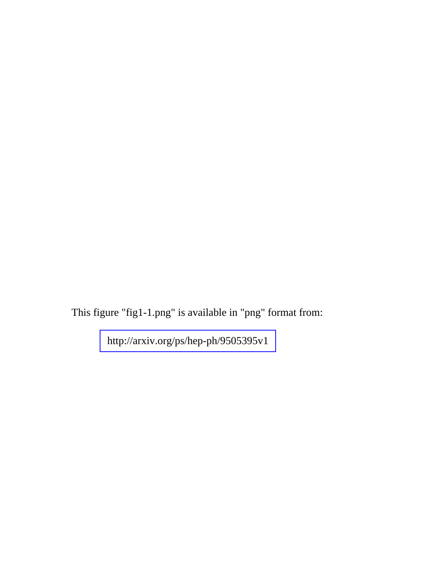This figure "fig1-1.png" is available in "png" format from:

<http://arxiv.org/ps/hep-ph/9505395v1>